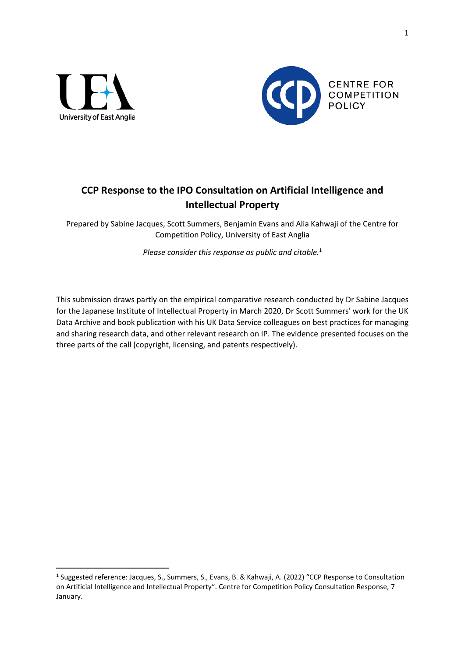



# **CCP Response to the IPO Consultation on Artificial Intelligence and Intellectual Property**

Prepared by Sabine Jacques, Scott Summers, Benjamin Evans and Alia Kahwaji of the Centre for Competition Policy, University of East Anglia

*Please consider this response as public and citable.*<sup>1</sup>

This submission draws partly on the empirical comparative research conducted by Dr Sabine Jacques for the Japanese Institute of Intellectual Property in March 2020, Dr Scott Summers' work for the UK Data Archive and book publication with his UK Data Service colleagues on best practices for managing and sharing research data, and other relevant research on IP. The evidence presented focuses on the three parts of the call (copyright, licensing, and patents respectively).

<sup>&</sup>lt;sup>1</sup> Suggested reference: Jacques, S., Summers, S., Evans, B. & Kahwaji, A. (2022) "CCP Response to Consultation on Artificial Intelligence and Intellectual Property". Centre for Competition Policy Consultation Response, 7 January.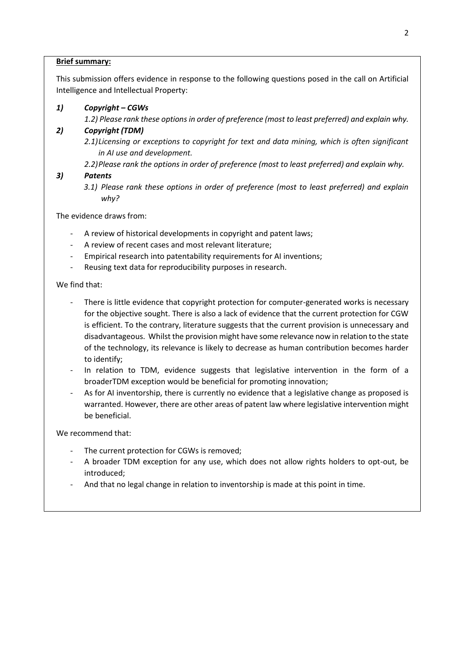### **Brief summary:**

This submission offers evidence in response to the following questions posed in the call on Artificial Intelligence and Intellectual Property:

## *1) Copyright – CGWs*

*1.2) Please rank these options in order of preference (most to least preferred) and explain why.*

## *2) Copyright (TDM)*

*2.1)Licensing or exceptions to copyright for text and data mining, which is often significant in AI use and development.*

*2.2)Please rank the options in order of preference (most to least preferred) and explain why.* 

## *3) Patents*

*3.1) Please rank these options in order of preference (most to least preferred) and explain why?*

The evidence draws from:

- A review of historical developments in copyright and patent laws;
- A review of recent cases and most relevant literature;
- Empirical research into patentability requirements for AI inventions;
- Reusing text data for reproducibility purposes in research.

We find that:

- There is little evidence that copyright protection for computer-generated works is necessary for the objective sought. There is also a lack of evidence that the current protection for CGW is efficient. To the contrary, literature suggests that the current provision is unnecessary and disadvantageous. Whilst the provision might have some relevance now in relation to the state of the technology, its relevance is likely to decrease as human contribution becomes harder to identify;
- In relation to TDM, evidence suggests that legislative intervention in the form of a broaderTDM exception would be beneficial for promoting innovation;
- As for AI inventorship, there is currently no evidence that a legislative change as proposed is warranted. However, there are other areas of patent law where legislative intervention might be beneficial.

We recommend that:

- The current protection for CGWs is removed;
- A broader TDM exception for any use, which does not allow rights holders to opt-out, be introduced;
- And that no legal change in relation to inventorship is made at this point in time.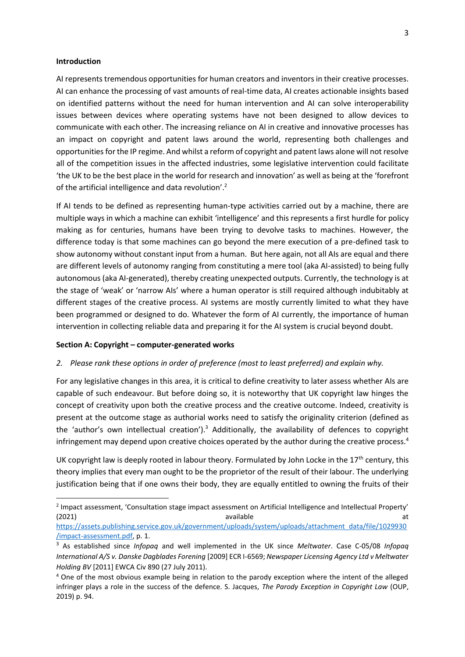#### **Introduction**

AI represents tremendous opportunities for human creators and inventors in their creative processes. AI can enhance the processing of vast amounts of real-time data, AI creates actionable insights based on identified patterns without the need for human intervention and AI can solve interoperability issues between devices where operating systems have not been designed to allow devices to communicate with each other. The increasing reliance on AI in creative and innovative processes has an impact on copyright and patent laws around the world, representing both challenges and opportunities for the IP regime. And whilst a reform of copyright and patent laws alone will not resolve all of the competition issues in the affected industries, some legislative intervention could facilitate 'the UK to be the best place in the world for research and innovation' as well as being at the 'forefront of the artificial intelligence and data revolution'.<sup>2</sup>

If AI tends to be defined as representing human-type activities carried out by a machine, there are multiple ways in which a machine can exhibit 'intelligence' and this represents a first hurdle for policy making as for centuries, humans have been trying to devolve tasks to machines. However, the difference today is that some machines can go beyond the mere execution of a pre-defined task to show autonomy without constant input from a human. But here again, not all AIs are equal and there are different levels of autonomy ranging from constituting a mere tool (aka AI-assisted) to being fully autonomous (aka AI-generated), thereby creating unexpected outputs. Currently, the technology is at the stage of 'weak' or 'narrow AIs' where a human operator is still required although indubitably at different stages of the creative process. AI systems are mostly currently limited to what they have been programmed or designed to do. Whatever the form of AI currently, the importance of human intervention in collecting reliable data and preparing it for the AI system is crucial beyond doubt.

#### **Section A: Copyright – computer-generated works**

#### *2. Please rank these options in order of preference (most to least preferred) and explain why.*

For any legislative changes in this area, it is critical to define creativity to later assess whether AIs are capable of such endeavour. But before doing so, it is noteworthy that UK copyright law hinges the concept of creativity upon both the creative process and the creative outcome. Indeed, creativity is present at the outcome stage as authorial works need to satisfy the originality criterion (defined as the 'author's own intellectual creation').<sup>3</sup> Additionally, the availability of defences to copyright infringement may depend upon creative choices operated by the author during the creative process. $4$ 

UK copyright law is deeply rooted in labour theory. Formulated by John Locke in the  $17<sup>th</sup>$  century, this theory implies that every man ought to be the proprietor of the result of their labour. The underlying justification being that if one owns their body, they are equally entitled to owning the fruits of their

<sup>&</sup>lt;sup>2</sup> Impact assessment, 'Consultation stage impact assessment on Artificial Intelligence and Intellectual Property' (2021) available at the control of the control of the control of the control of the control of the control of the control of the control of the control of the control of the control of the control of the control of the con

[https://assets.publishing.service.gov.uk/government/uploads/system/uploads/attachment\\_data/file/1029930](https://assets.publishing.service.gov.uk/government/uploads/system/uploads/attachment_data/file/1029930/impact-assessment.pdf) [/impact-assessment.pdf,](https://assets.publishing.service.gov.uk/government/uploads/system/uploads/attachment_data/file/1029930/impact-assessment.pdf) p. 1.

<sup>3</sup> As established since *Infopaq* and well implemented in the UK since *Meltwater*. Case C-05/08 *Infopaq International A/S v. Danske Dagblades Forening* [2009] ECR I-6569; *Newspaper Licensing Agency Ltd v Meltwater Holding BV* [2011] EWCA Civ 890 (27 July 2011).

<sup>&</sup>lt;sup>4</sup> One of the most obvious example being in relation to the parody exception where the intent of the alleged infringer plays a role in the success of the defence. S. Jacques, *The Parody Exception in Copyright Law* (OUP, 2019) p. 94.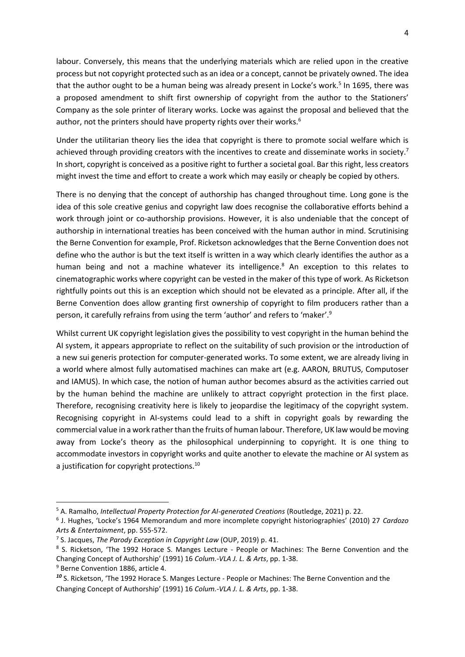labour. Conversely, this means that the underlying materials which are relied upon in the creative process but not copyright protected such as an idea or a concept, cannot be privately owned. The idea that the author ought to be a human being was already present in Locke's work.<sup>5</sup> In 1695, there was a proposed amendment to shift first ownership of copyright from the author to the Stationers' Company as the sole printer of literary works. Locke was against the proposal and believed that the author, not the printers should have property rights over their works. $6$ 

Under the utilitarian theory lies the idea that copyright is there to promote social welfare which is achieved through providing creators with the incentives to create and disseminate works in society.<sup>7</sup> In short, copyright is conceived as a positive right to further a societal goal. Bar this right, less creators might invest the time and effort to create a work which may easily or cheaply be copied by others.

There is no denying that the concept of authorship has changed throughout time. Long gone is the idea of this sole creative genius and copyright law does recognise the collaborative efforts behind a work through joint or co-authorship provisions. However, it is also undeniable that the concept of authorship in international treaties has been conceived with the human author in mind. Scrutinising the Berne Convention for example, Prof. Ricketson acknowledges that the Berne Convention does not define who the author is but the text itself is written in a way which clearly identifies the author as a human being and not a machine whatever its intelligence.<sup>8</sup> An exception to this relates to cinematographic works where copyright can be vested in the maker of this type of work. As Ricketson rightfully points out this is an exception which should not be elevated as a principle. After all, if the Berne Convention does allow granting first ownership of copyright to film producers rather than a person, it carefully refrains from using the term 'author' and refers to 'maker'.<sup>9</sup>

Whilst current UK copyright legislation gives the possibility to vest copyright in the human behind the AI system, it appears appropriate to reflect on the suitability of such provision or the introduction of a new sui generis protection for computer-generated works. To some extent, we are already living in a world where almost fully automatised machines can make art (e.g. AARON, BRUTUS, Computoser and IAMUS). In which case, the notion of human author becomes absurd as the activities carried out by the human behind the machine are unlikely to attract copyright protection in the first place. Therefore, recognising creativity here is likely to jeopardise the legitimacy of the copyright system. Recognising copyright in AI-systems could lead to a shift in copyright goals by rewarding the commercial value in a work rather than the fruits of human labour. Therefore, UK law would be moving away from Locke's theory as the philosophical underpinning to copyright. It is one thing to accommodate investors in copyright works and quite another to elevate the machine or AI system as a justification for copyright protections.<sup>10</sup>

<sup>9</sup> Berne Convention 1886, article 4.

<sup>5</sup> A. Ramalho, *Intellectual Property Protection for AI-generated Creations* (Routledge, 2021) p. 22.

<sup>6</sup> J. Hughes, 'Locke's 1964 Memorandum and more incomplete copyright historiographies' (2010) 27 *Cardozo Arts & Entertainment*, pp. 555-572.

<sup>7</sup> S. Jacques, *The Parody Exception in Copyright Law* (OUP, 2019) p. 41.

<sup>&</sup>lt;sup>8</sup> S. Ricketson, 'The 1992 Horace S. Manges Lecture - People or Machines: The Berne Convention and the Changing Concept of Authorship' (1991) 16 *Colum.-VLA J. L. & Arts*, pp. 1-38.

*<sup>10</sup>* S. Ricketson, 'The 1992 Horace S. Manges Lecture - People or Machines: The Berne Convention and the Changing Concept of Authorship' (1991) 16 *Colum.-VLA J. L. & Arts*, pp. 1-38.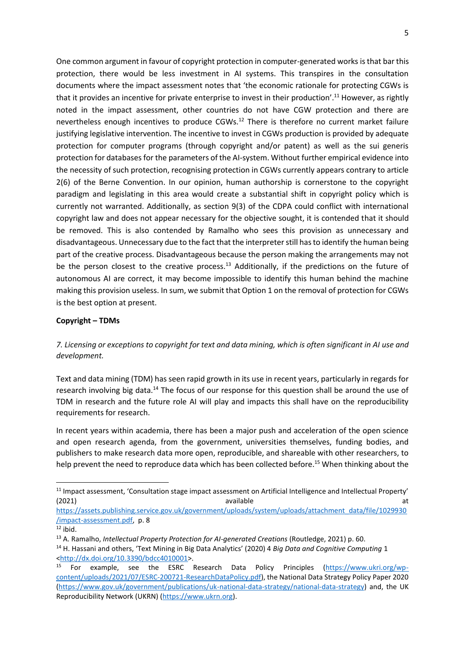One common argument in favour of copyright protection in computer-generated works is that bar this protection, there would be less investment in AI systems. This transpires in the consultation documents where the impact assessment notes that 'the economic rationale for protecting CGWs is that it provides an incentive for private enterprise to invest in their production'.<sup>11</sup> However, as rightly noted in the impact assessment, other countries do not have CGW protection and there are nevertheless enough incentives to produce CGWs.<sup>12</sup> There is therefore no current market failure justifying legislative intervention. The incentive to invest in CGWs production is provided by adequate protection for computer programs (through copyright and/or patent) as well as the sui generis protection for databases for the parameters of the AI-system. Without further empirical evidence into the necessity of such protection, recognising protection in CGWs currently appears contrary to article 2(6) of the Berne Convention. In our opinion, human authorship is cornerstone to the copyright paradigm and legislating in this area would create a substantial shift in copyright policy which is currently not warranted. Additionally, as section 9(3) of the CDPA could conflict with international copyright law and does not appear necessary for the objective sought, it is contended that it should be removed. This is also contended by Ramalho who sees this provision as unnecessary and disadvantageous. Unnecessary due to the fact that the interpreter still has to identify the human being part of the creative process. Disadvantageous because the person making the arrangements may not be the person closest to the creative process.<sup>13</sup> Additionally, if the predictions on the future of autonomous AI are correct, it may become impossible to identify this human behind the machine making this provision useless. In sum, we submit that Option 1 on the removal of protection for CGWs is the best option at present.

#### **Copyright – TDMs**

## *7. Licensing or exceptions to copyright for text and data mining, which is often significant in AI use and development.*

Text and data mining (TDM) has seen rapid growth in its use in recent years, particularly in regards for research involving big data.<sup>14</sup> The focus of our response for this question shall be around the use of TDM in research and the future role AI will play and impacts this shall have on the reproducibility requirements for research.

In recent years within academia, there has been a major push and acceleration of the open science and open research agenda, from the government, universities themselves, funding bodies, and publishers to make research data more open, reproducible, and shareable with other researchers, to help prevent the need to reproduce data which has been collected before.<sup>15</sup> When thinking about the

[https://assets.publishing.service.gov.uk/government/uploads/system/uploads/attachment\\_data/file/1029930](https://assets.publishing.service.gov.uk/government/uploads/system/uploads/attachment_data/file/1029930/impact-assessment.pdf) [/impact-assessment.pdf,](https://assets.publishing.service.gov.uk/government/uploads/system/uploads/attachment_data/file/1029930/impact-assessment.pdf) p. 8

<sup>&</sup>lt;sup>11</sup> Impact assessment, 'Consultation stage impact assessment on Artificial Intelligence and Intellectual Property' (2021) available at the control of the control of the control of the control of the control of the control of the control of the control of the control of the control of the control of the control of the control of the con

 $\overline{^{12}}$  ibid.

<sup>13</sup> A. Ramalho, *Intellectual Property Protection for AI-generated Creations* (Routledge, 2021) p. 60.

<sup>14</sup> H. Hassani and others, 'Text Mining in Big Data Analytics' (2020) 4 *Big Data and Cognitive Computing* 1 [<http://dx.doi.org/10.3390/bdcc4010001>](http://dx.doi.org/10.3390/bdcc4010001).

<sup>&</sup>lt;sup>15</sup> For example, see the ESRC Research Data Policy Principles [\(https://www.ukri.org/wp](https://www.ukri.org/wp-content/uploads/2021/07/ESRC-200721-ResearchDataPolicy.pdf)[content/uploads/2021/07/ESRC-200721-ResearchDataPolicy.pdf\)](https://www.ukri.org/wp-content/uploads/2021/07/ESRC-200721-ResearchDataPolicy.pdf), the National Data Strategy Policy Paper 2020 [\(https://www.gov.uk/government/publications/uk-national-data-strategy/national-data-strategy\)](https://www.gov.uk/government/publications/uk-national-data-strategy/national-data-strategy) and, the UK Reproducibility Network (UKRN) [\(https://www.ukrn.org\)](https://www.ukrn.org/).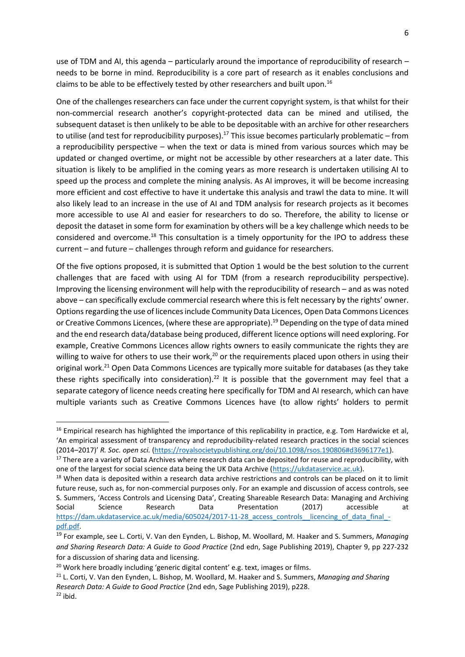use of TDM and AI, this agenda – particularly around the importance of reproducibility of research – needs to be borne in mind. Reproducibility is a core part of research as it enables conclusions and claims to be able to be effectively tested by other researchers and built upon.<sup>16</sup>

One of the challenges researchers can face under the current copyright system, is that whilst for their non-commercial research another's copyright-protected data can be mined and utilised, the subsequent dataset is then unlikely to be able to be depositable with an archive for other researchers to utilise (and test for reproducibility purposes).<sup>17</sup> This issue becomes particularly problematic – from a reproducibility perspective – when the text or data is mined from various sources which may be updated or changed overtime, or might not be accessible by other researchers at a later date. This situation is likely to be amplified in the coming years as more research is undertaken utilising AI to speed up the process and complete the mining analysis. As AI improves, it will be become increasing more efficient and cost effective to have it undertake this analysis and trawl the data to mine. It will also likely lead to an increase in the use of AI and TDM analysis for research projects as it becomes more accessible to use AI and easier for researchers to do so. Therefore, the ability to license or deposit the dataset in some form for examination by others will be a key challenge which needs to be considered and overcome.<sup>18</sup> This consultation is a timely opportunity for the IPO to address these current – and future – challenges through reform and guidance for researchers.

Of the five options proposed, it is submitted that Option 1 would be the best solution to the current challenges that are faced with using AI for TDM (from a research reproducibility perspective). Improving the licensing environment will help with the reproducibility of research – and as was noted above – can specifically exclude commercial research where this is felt necessary by the rights' owner. Options regarding the use of licences include Community Data Licences, Open Data Commons Licences or Creative Commons Licences, (where these are appropriate).<sup>19</sup> Depending on the type of data mined and the end research data/database being produced, different licence options will need exploring. For example, Creative Commons Licences allow rights owners to easily communicate the rights they are willing to waive for others to use their work,<sup>20</sup> or the requirements placed upon others in using their original work.<sup>21</sup> Open Data Commons Licences are typically more suitable for databases (as they take these rights specifically into consideration).<sup>22</sup> It is possible that the government may feel that a separate category of licence needs creating here specifically for TDM and AI research, which can have multiple variants such as Creative Commons Licences have (to allow rights' holders to permit

<sup>&</sup>lt;sup>16</sup> Empirical research has highlighted the importance of this replicability in practice, e.g. Tom Hardwicke et al, 'An empirical assessment of transparency and reproducibility-related research practices in the social sciences (2014–2017)' *R. Soc. open sci.* [\(https://royalsocietypublishing.org/doi/10.1098/rsos.190806#d3696177e1\)](https://royalsocietypublishing.org/doi/10.1098/rsos.190806#d3696177e1).

<sup>&</sup>lt;sup>17</sup> There are a variety of Data Archives where research data can be deposited for reuse and reproducibility, with one of the largest for social science data being the UK Data Archive [\(https://ukdataservice.ac.uk\)](https://ukdataservice.ac.uk/).

<sup>&</sup>lt;sup>18</sup> When data is deposited within a research data archive restrictions and controls can be placed on it to limit future reuse, such as, for non-commercial purposes only. For an example and discussion of access controls, see S. Summers, 'Access Controls and Licensing Data', Creating Shareable Research Data: Managing and Archiving Social Science Research Data Presentation (2017) accessible at https://dam.ukdataservice.ac.uk/media/605024/2017-11-28 access\_controls\_licencing\_of\_data\_final\_[pdf.pdf.](https://dam.ukdataservice.ac.uk/media/605024/2017-11-28_access_controls__licencing_of_data_final_-pdf.pdf)

<sup>19</sup> For example, see L. Corti, V. Van den Eynden, L. Bishop, M. Woollard, M. Haaker and S. Summers, *Managing and Sharing Research Data: A Guide to Good Practice* (2nd edn, Sage Publishing 2019), Chapter 9, pp 227-232 for a discussion of sharing data and licensing.

<sup>&</sup>lt;sup>20</sup> Work here broadly including 'generic digital content' e.g. text, images or films.

<sup>21</sup> L. Corti, V. Van den Eynden, L. Bishop, M. Woollard, M. Haaker and S. Summers, *Managing and Sharing Research Data: A Guide to Good Practice* (2nd edn, Sage Publishing 2019), p228.  $22$  ibid.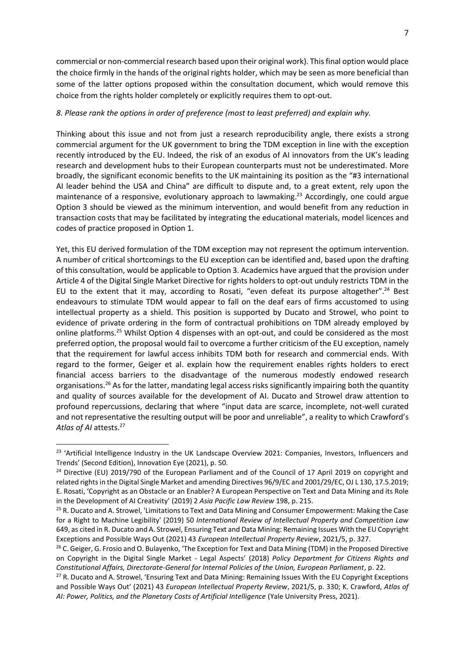commercial or non-commercial research based upon their original work). This final option would place the choice firmly in the hands of the original rights holder, which may be seen as more beneficial than some of the latter options proposed within the consultation document, which would remove this choice from the rights holder completely or explicitly requires them to opt-out.

#### *8. Please rank the options in order of preference (most to least preferred) and explain why.*

Thinking about this issue and not from just a research reproducibility angle, there exists a strong commercial argument for the UK government to bring the TDM exception in line with the exception recently introduced by the EU. Indeed, the risk of an exodus of AI innovators from the UK's leading research and development hubs to their European counterparts must not be underestimated. More broadly, the significant economic benefits to the UK maintaining its position as the "#3 international AI leader behind the USA and China" are difficult to dispute and, to a great extent, rely upon the maintenance of a responsive, evolutionary approach to lawmaking.<sup>23</sup> Accordingly, one could argue Option 3 should be viewed as the minimum intervention, and would benefit from any reduction in transaction costs that may be facilitated by integrating the educational materials, model licences and codes of practice proposed in Option 1.

Yet, this EU derived formulation of the TDM exception may not represent the optimum intervention. A number of critical shortcomings to the EU exception can be identified and, based upon the drafting of this consultation, would be applicable to Option 3. Academics have argued that the provision under Article 4 of the Digital Single Market Directive for rights holders to opt-out unduly restricts TDM in the EU to the extent that it may, according to Rosati, "even defeat its purpose altogether".<sup>24</sup> Best endeavours to stimulate TDM would appear to fall on the deaf ears of firms accustomed to using intellectual property as a shield. This position is supported by Ducato and Strowel, who point to evidence of private ordering in the form of contractual prohibitions on TDM already employed by online platforms.<sup>25</sup> Whilst Option 4 dispenses with an opt-out, and could be considered as the most preferred option, the proposal would fail to overcome a further criticism of the EU exception, namely that the requirement for lawful access inhibits TDM both for research and commercial ends. With regard to the former, Geiger et al. explain how the requirement enables rights holders to erect financial access barriers to the disadvantage of the numerous modestly endowed research organisations.<sup>26</sup> As for the latter, mandating legal access risks significantly impairing both the quantity and quality of sources available for the development of AI. Ducato and Strowel draw attention to profound repercussions, declaring that where "input data are scarce, incomplete, not-well curated and not representative the resulting output will be poor and unreliable", a reality to which Crawford's *Atlas of AI* attests.<sup>27</sup>

<sup>&</sup>lt;sup>23</sup> 'Artificial Intelligence Industry in the UK Landscape Overview 2021: Companies, Investors, Influencers and Trends' (Second Edition), Innovation Eye (2021), p. 50.

<sup>&</sup>lt;sup>24</sup> Directive (EU) 2019/790 of the European Parliament and of the Council of 17 April 2019 on copyright and related rights in the Digital Single Market and amending Directives 96/9/EC and 2001/29/EC, OJ L 130, 17.5.2019; E. Rosati, 'Copyright as an Obstacle or an Enabler? A European Perspective on Text and Data Mining and its Role in the Development of AI Creativity' (2019) 2 *Asia Pacific Law Review* 198, p. 215.

<sup>&</sup>lt;sup>25</sup> R. Ducato and A. Strowel, 'Limitations to Text and Data Mining and Consumer Empowerment: Making the Case for a Right to Machine Legibility' (2019) 50 *International Review of Intellectual Property and Competition Law* 649, as cited in R. Ducato and A. Strowel, Ensuring Text and Data Mining: Remaining Issues With the EU Copyright Exceptions and Possible Ways Out (2021) 43 *European Intellectual Property Review*, 2021/5, p. 327.

<sup>&</sup>lt;sup>26</sup> C. Geiger, G. Frosio and O. Bulayenko, 'The Exception for Text and Data Mining (TDM) in the Proposed Directive on Copyright in the Digital Single Market - Legal Aspects' (2018) *Policy Department for Citizens Rights and Constitutional Affairs, Directorate-General for Internal Policies of the Union, European Parliament*, p. 22.

<sup>&</sup>lt;sup>27</sup> R. Ducato and A. Strowel, 'Ensuring Text and Data Mining: Remaining Issues With the EU Copyright Exceptions and Possible Ways Out' (2021) 43 *European Intellectual Property Review*, 2021/5, p. 330; K. Crawford, *Atlas of AI: Power, Politics, and the Planetary Costs of Artificial Intelligence* (Yale University Press, 2021).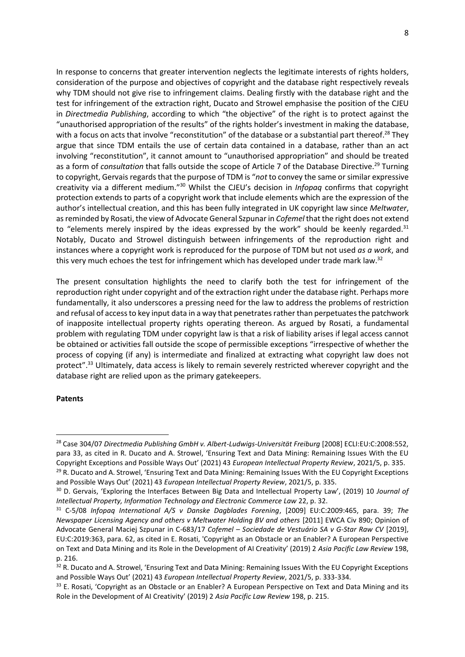In response to concerns that greater intervention neglects the legitimate interests of rights holders, consideration of the purpose and objectives of copyright and the database right respectively reveals why TDM should not give rise to infringement claims. Dealing firstly with the database right and the test for infringement of the extraction right, Ducato and Strowel emphasise the position of the CJEU in *Directmedia Publishing*, according to which "the objective" of the right is to protect against the "unauthorised appropriation of the results" of the rights holder's investment in making the database, with a focus on acts that involve "reconstitution" of the database or a substantial part thereof.<sup>28</sup> They argue that since TDM entails the use of certain data contained in a database, rather than an act involving "reconstitution", it cannot amount to "unauthorised appropriation" and should be treated as a form of *consultation* that falls outside the scope of Article 7 of the Database Directive.<sup>29</sup> Turning to copyright, Gervaisregards that the purpose of TDM is "*not* to convey the same or similar expressive creativity via a different medium."<sup>30</sup> Whilst the CJEU's decision in *Infopaq* confirms that copyright protection extends to parts of a copyright work that include elements which are the expression of the author's intellectual creation, and this has been fully integrated in UK copyright law since *Meltwater*, as reminded by Rosati, the view of Advocate General Szpunar in *Cofemel* that the right does not extend to "elements merely inspired by the ideas expressed by the work" should be keenly regarded. $31$ Notably, Ducato and Strowel distinguish between infringements of the reproduction right and instances where a copyright work is reproduced for the purpose of TDM but not used *as a work*, and this very much echoes the test for infringement which has developed under trade mark law.<sup>32</sup>

The present consultation highlights the need to clarify both the test for infringement of the reproduction right under copyright and of the extraction right under the database right. Perhaps more fundamentally, it also underscores a pressing need for the law to address the problems of restriction and refusal of access to key input data in a way that penetrates rather than perpetuates the patchwork of inapposite intellectual property rights operating thereon. As argued by Rosati, a fundamental problem with regulating TDM under copyright law is that a risk of liability arises if legal access cannot be obtained or activities fall outside the scope of permissible exceptions "irrespective of whether the process of copying (if any) is intermediate and finalized at extracting what copyright law does not protect".<sup>33</sup> Ultimately, data access is likely to remain severely restricted wherever copyright and the database right are relied upon as the primary gatekeepers.

#### **Patents**

<sup>28</sup> Case 304/07 *Directmedia Publishing GmbH v. Albert-Ludwigs-Universität Freiburg* [2008] ECLI:EU:C:2008:552, para 33, as cited in R. Ducato and A. Strowel, 'Ensuring Text and Data Mining: Remaining Issues With the EU Copyright Exceptions and Possible Ways Out' (2021) 43 *European Intellectual Property Review*, 2021/5, p. 335.

<sup>&</sup>lt;sup>29</sup> R. Ducato and A. Strowel, 'Ensuring Text and Data Mining: Remaining Issues With the EU Copyright Exceptions and Possible Ways Out' (2021) 43 *European Intellectual Property Review*, 2021/5, p. 335.

<sup>30</sup> D. Gervais, 'Exploring the Interfaces Between Big Data and Intellectual Property Law', (2019) 10 *Journal of Intellectual Property, Information Technology and Electronic Commerce Law* 22, p. 32.

<sup>31</sup> C-5/08 *Infopaq International A/S v Danske Dagblades Forening*, [2009] EU:C:2009:465, para. 39; *The Newspaper Licensing Agency and others v Meltwater Holding BV and others* [2011] EWCA Civ 890; Opinion of Advocate General Maciej Szpunar in C-683/17 *Cofemel – Sociedade de Vestuário SA v G-Star Raw CV* [2019], EU:C:2019:363, para. 62, as cited in E. Rosati, 'Copyright as an Obstacle or an Enabler? A European Perspective on Text and Data Mining and its Role in the Development of AI Creativity' (2019) 2 *Asia Pacific Law Review* 198, p. 216.

<sup>&</sup>lt;sup>32</sup> R. Ducato and A. Strowel, 'Ensuring Text and Data Mining: Remaining Issues With the EU Copyright Exceptions and Possible Ways Out' (2021) 43 *European Intellectual Property Review*, 2021/5, p. 333-334.

<sup>&</sup>lt;sup>33</sup> E. Rosati, 'Copyright as an Obstacle or an Enabler? A European Perspective on Text and Data Mining and its Role in the Development of AI Creativity' (2019) 2 *Asia Pacific Law Review* 198, p. 215.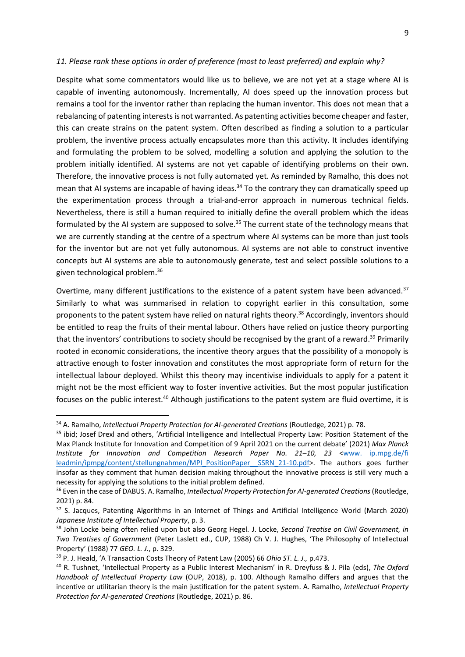#### *11. Please rank these options in order of preference (most to least preferred) and explain why?*

Despite what some commentators would like us to believe, we are not yet at a stage where AI is capable of inventing autonomously. Incrementally, AI does speed up the innovation process but remains a tool for the inventor rather than replacing the human inventor. This does not mean that a rebalancing of patenting interests is not warranted. As patenting activities become cheaper and faster, this can create strains on the patent system. Often described as finding a solution to a particular problem, the inventive process actually encapsulates more than this activity. It includes identifying and formulating the problem to be solved, modelling a solution and applying the solution to the problem initially identified. AI systems are not yet capable of identifying problems on their own. Therefore, the innovative process is not fully automated yet. As reminded by Ramalho, this does not mean that AI systems are incapable of having ideas.<sup>34</sup> To the contrary they can dramatically speed up the experimentation process through a trial-and-error approach in numerous technical fields. Nevertheless, there is still a human required to initially define the overall problem which the ideas formulated by the AI system are supposed to solve.<sup>35</sup> The current state of the technology means that we are currently standing at the centre of a spectrum where AI systems can be more than just tools for the inventor but are not yet fully autonomous. AI systems are not able to construct inventive concepts but AI systems are able to autonomously generate, test and select possible solutions to a given technological problem.<sup>36</sup>

Overtime, many different justifications to the existence of a patent system have been advanced.<sup>37</sup> Similarly to what was summarised in relation to copyright earlier in this consultation, some proponents to the patent system have relied on natural rights theory.<sup>38</sup> Accordingly, inventors should be entitled to reap the fruits of their mental labour. Others have relied on justice theory purporting that the inventors' contributions to society should be recognised by the grant of a reward.<sup>39</sup> Primarily rooted in economic considerations, the incentive theory argues that the possibility of a monopoly is attractive enough to foster innovation and constitutes the most appropriate form of return for the intellectual labour deployed. Whilst this theory may incentivise individuals to apply for a patent it might not be the most efficient way to foster inventive activities. But the most popular justification focuses on the public interest.<sup>40</sup> Although justifications to the patent system are fluid overtime, it is

<sup>34</sup> A. Ramalho, *Intellectual Property Protection for AI-generated Creations* (Routledge, 2021) p. 78.

<sup>&</sup>lt;sup>35</sup> ibid; Josef Drexl and others, 'Artificial Intelligence and Intellectual Property Law: Position Statement of the Max Planck Institute for Innovation and Competition of 9 April 2021 on the current debate' (2021) *Max Planck Institute for Innovation and Competition Research Paper No. 21–10, 23* [<www. ip.mpg.de/fi](http://www.ip.mpg.de/fi%20leadmin/ipmpg/content/stellungnahmen/MPI_PositionPaper__SSRN_21-10.pdf)  [leadmin/ipmpg/content/stellungnahmen/MPI\\_PositionPaper\\_\\_SSRN\\_21-10.pdf>](http://www.ip.mpg.de/fi%20leadmin/ipmpg/content/stellungnahmen/MPI_PositionPaper__SSRN_21-10.pdf). The authors goes further insofar as they comment that human decision making throughout the innovative process is still very much a necessity for applying the solutions to the initial problem defined.

<sup>36</sup> Even in the case of DABUS. A. Ramalho, *Intellectual Property Protection for AI-generated Creations* (Routledge, 2021) p. 84.

<sup>37</sup> S. Jacques, Patenting Algorithms in an Internet of Things and Artificial Intelligence World (March 2020) *Japanese Institute of Intellectual Property*, p. 3.

<sup>38</sup> John Locke being often relied upon but also Georg Hegel. J. Locke, *Second Treatise on Civil Government, in Two Treatises of Government* (Peter Laslett ed., CUP, 1988) Ch V. J. Hughes, 'The Philosophy of Intellectual Property' (1988) 77 *GEO. L. J.*, p. 329.

<sup>39</sup> P. J. Heald, 'A Transaction Costs Theory of Patent Law (2005) 66 *Ohio ST. L. J.,* p.473.

<sup>40</sup> R. Tushnet, 'Intellectual Property as a Public Interest Mechanism' in R. Dreyfuss & J. Pila (eds), *The Oxford Handbook of Intellectual Property Law* (OUP, 2018), p. 100. Although Ramalho differs and argues that the incentive or utilitarian theory is the main justification for the patent system. A. Ramalho, *Intellectual Property Protection for AI-generated Creations* (Routledge, 2021) p. 86.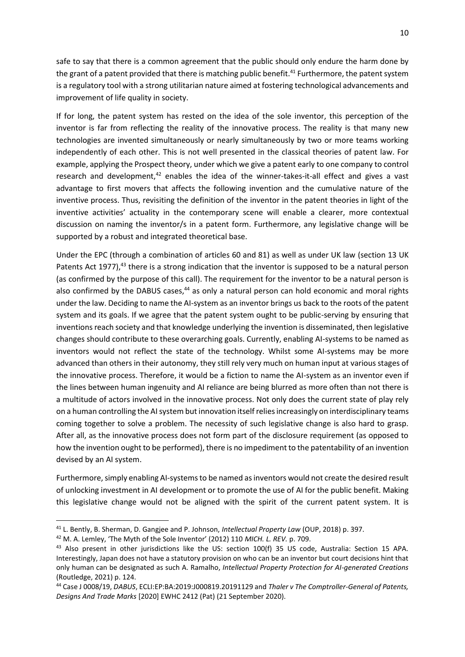safe to say that there is a common agreement that the public should only endure the harm done by the grant of a patent provided that there is matching public benefit.<sup>41</sup> Furthermore, the patent system is a regulatory tool with a strong utilitarian nature aimed at fostering technological advancements and improvement of life quality in society.

If for long, the patent system has rested on the idea of the sole inventor, this perception of the inventor is far from reflecting the reality of the innovative process. The reality is that many new technologies are invented simultaneously or nearly simultaneously by two or more teams working independently of each other. This is not well presented in the classical theories of patent law. For example, applying the Prospect theory, under which we give a patent early to one company to control research and development, $42$  enables the idea of the winner-takes-it-all effect and gives a vast advantage to first movers that affects the following invention and the cumulative nature of the inventive process. Thus, revisiting the definition of the inventor in the patent theories in light of the inventive activities' actuality in the contemporary scene will enable a clearer, more contextual discussion on naming the inventor/s in a patent form. Furthermore, any legislative change will be supported by a robust and integrated theoretical base.

Under the EPC (through a combination of articles 60 and 81) as well as under UK law (section 13 UK Patents Act 1977), $43$  there is a strong indication that the inventor is supposed to be a natural person (as confirmed by the purpose of this call). The requirement for the inventor to be a natural person is also confirmed by the DABUS cases,<sup>44</sup> as only a natural person can hold economic and moral rights under the law. Deciding to name the AI-system as an inventor brings us back to the roots of the patent system and its goals. If we agree that the patent system ought to be public-serving by ensuring that inventions reach society and that knowledge underlying the invention is disseminated, then legislative changes should contribute to these overarching goals. Currently, enabling AI-systems to be named as inventors would not reflect the state of the technology. Whilst some AI-systems may be more advanced than others in their autonomy, they still rely very much on human input at various stages of the innovative process. Therefore, it would be a fiction to name the AI-system as an inventor even if the lines between human ingenuity and AI reliance are being blurred as more often than not there is a multitude of actors involved in the innovative process. Not only does the current state of play rely on a human controlling the AI system but innovation itself relies increasingly on interdisciplinary teams coming together to solve a problem. The necessity of such legislative change is also hard to grasp. After all, as the innovative process does not form part of the disclosure requirement (as opposed to how the invention ought to be performed), there is no impediment to the patentability of an invention devised by an AI system.

Furthermore, simply enabling AI-systems to be named as inventors would not create the desired result of unlocking investment in AI development or to promote the use of AI for the public benefit. Making this legislative change would not be aligned with the spirit of the current patent system. It is

<sup>41</sup> L. Bently, B. Sherman, D. Gangjee and P. Johnson, *Intellectual Property Law* (OUP, 2018) p. 397.

<sup>42</sup> M. A. Lemley, 'The Myth of the Sole Inventor' (2012) 110 *MICH. L. REV.* p. 709.

<sup>&</sup>lt;sup>43</sup> Also present in other jurisdictions like the US: section 100(f) 35 US code, Australia: Section 15 APA. Interestingly, Japan does not have a statutory provision on who can be an inventor but court decisions hint that only human can be designated as such A. Ramalho, *Intellectual Property Protection for AI-generated Creations* (Routledge, 2021) p. 124.

<sup>44</sup> Case J 0008/19, *DABUS*, ECLI:EP:BA:2019:J000819.20191129 and *Thaler v The Comptroller-General of Patents, Designs And Trade Marks* [2020] EWHC 2412 (Pat) (21 September 2020).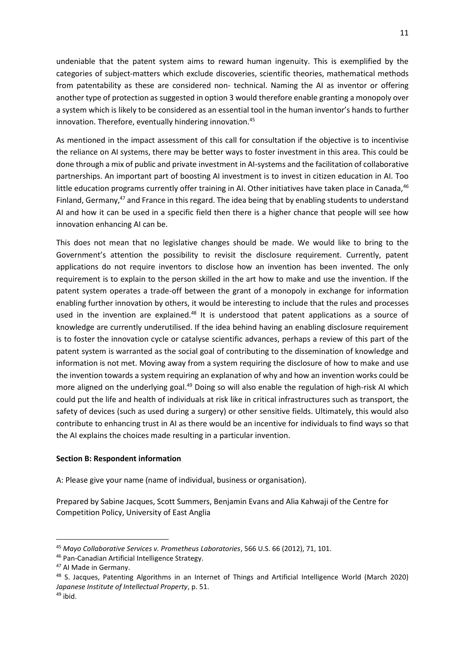undeniable that the patent system aims to reward human ingenuity. This is exemplified by the categories of subject-matters which exclude discoveries, scientific theories, mathematical methods from patentability as these are considered non- technical. Naming the AI as inventor or offering another type of protection as suggested in option 3 would therefore enable granting a monopoly over a system which is likely to be considered as an essential tool in the human inventor's hands to further innovation. Therefore, eventually hindering innovation.<sup>45</sup>

As mentioned in the impact assessment of this call for consultation if the objective is to incentivise the reliance on AI systems, there may be better ways to foster investment in this area. This could be done through a mix of public and private investment in AI-systems and the facilitation of collaborative partnerships. An important part of boosting AI investment is to invest in citizen education in AI. Too little education programs currently offer training in AI. Other initiatives have taken place in Canada, $46$ Finland, Germany,<sup>47</sup> and France in this regard. The idea being that by enabling students to understand AI and how it can be used in a specific field then there is a higher chance that people will see how innovation enhancing AI can be.

This does not mean that no legislative changes should be made. We would like to bring to the Government's attention the possibility to revisit the disclosure requirement. Currently, patent applications do not require inventors to disclose how an invention has been invented. The only requirement is to explain to the person skilled in the art how to make and use the invention. If the patent system operates a trade-off between the grant of a monopoly in exchange for information enabling further innovation by others, it would be interesting to include that the rules and processes used in the invention are explained.<sup>48</sup> It is understood that patent applications as a source of knowledge are currently underutilised. If the idea behind having an enabling disclosure requirement is to foster the innovation cycle or catalyse scientific advances, perhaps a review of this part of the patent system is warranted as the social goal of contributing to the dissemination of knowledge and information is not met. Moving away from a system requiring the disclosure of how to make and use the invention towards a system requiring an explanation of why and how an invention works could be more aligned on the underlying goal.<sup>49</sup> Doing so will also enable the regulation of high-risk AI which could put the life and health of individuals at risk like in critical infrastructures such as transport, the safety of devices (such as used during a surgery) or other sensitive fields. Ultimately, this would also contribute to enhancing trust in AI as there would be an incentive for individuals to find ways so that the AI explains the choices made resulting in a particular invention.

#### **Section B: Respondent information**

A: Please give your name (name of individual, business or organisation).

Prepared by Sabine Jacques, Scott Summers, Benjamin Evans and Alia Kahwaji of the Centre for Competition Policy, University of East Anglia

<sup>45</sup> *Mayo Collaborative Services v. Prometheus Laboratories*, 566 U.S. 66 (2012), 71, 101.

<sup>46</sup> Pan-Canadian Artificial Intelligence Strategy.

<sup>47</sup> AI Made in Germany.

<sup>48</sup> S. Jacques, Patenting Algorithms in an Internet of Things and Artificial Intelligence World (March 2020) *Japanese Institute of Intellectual Property*, p. 51.

 $49$  ibid.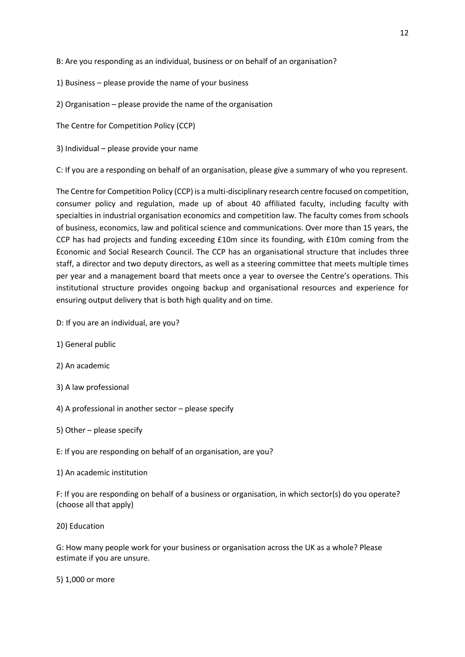B: Are you responding as an individual, business or on behalf of an organisation?

- 1) Business please provide the name of your business
- 2) Organisation please provide the name of the organisation

The Centre for Competition Policy (CCP)

3) Individual – please provide your name

C: If you are a responding on behalf of an organisation, please give a summary of who you represent.

The Centre for Competition Policy (CCP) is a multi-disciplinary research centre focused on competition, consumer policy and regulation, made up of about 40 affiliated faculty, including faculty with specialties in industrial organisation economics and competition law. The faculty comes from schools of business, economics, law and political science and communications. Over more than 15 years, the CCP has had projects and funding exceeding £10m since its founding, with £10m coming from the Economic and Social Research Council. The CCP has an organisational structure that includes three staff, a director and two deputy directors, as well as a steering committee that meets multiple times per year and a management board that meets once a year to oversee the Centre's operations. This institutional structure provides ongoing backup and organisational resources and experience for ensuring output delivery that is both high quality and on time.

- D: If you are an individual, are you?
- 1) General public
- 2) An academic
- 3) A law professional
- 4) A professional in another sector please specify
- 5) Other please specify
- E: If you are responding on behalf of an organisation, are you?
- 1) An academic institution

F: If you are responding on behalf of a business or organisation, in which sector(s) do you operate? (choose all that apply)

20) Education

G: How many people work for your business or organisation across the UK as a whole? Please estimate if you are unsure.

5) 1,000 or more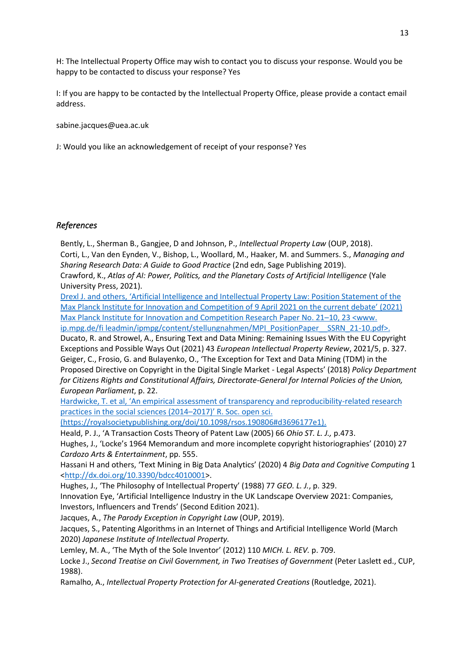H: The Intellectual Property Office may wish to contact you to discuss your response. Would you be happy to be contacted to discuss your response? Yes

I: If you are happy to be contacted by the Intellectual Property Office, please provide a contact email address.

sabine.jacques@uea.ac.uk

J: Would you like an acknowledgement of receipt of your response? Yes

## *References*

Bently, L., Sherman B., Gangjee, D and Johnson, P., *Intellectual Property Law* (OUP, 2018). Corti, L., Van den Eynden, V., Bishop, L., Woollard, M., Haaker, M. and Summers. S., *Managing and Sharing Research Data: A Guide to Good Practice* (2nd edn, Sage Publishing 2019). Crawford, K., *Atlas of AI: Power, Politics, and the Planetary Costs of Artificial Intelligence* (Yale University Press, 2021). [Drexl J. and others, 'Artificial Intelligence and Intellectual Property Law: Position Statement of the](http://www.ip.mpg.de/fi%20leadmin/ipmpg/content/stellungnahmen/MPI_PositionPaper__SSRN_21-10.pdf)  [Max Planck Institute for Innovation and Competition of 9 April](http://www.ip.mpg.de/fi%20leadmin/ipmpg/content/stellungnahmen/MPI_PositionPaper__SSRN_21-10.pdf) 2021 on the current debate' (2021) [Max Planck Institute for Innovation and Competition Research Paper No. 21](http://www.ip.mpg.de/fi%20leadmin/ipmpg/content/stellungnahmen/MPI_PositionPaper__SSRN_21-10.pdf)–10, 23 <www. [ip.mpg.de/fi leadmin/ipmpg/content/stellungnahmen/MPI\\_PositionPaper\\_\\_SSRN\\_21-10.pdf>.](http://www.ip.mpg.de/fi%20leadmin/ipmpg/content/stellungnahmen/MPI_PositionPaper__SSRN_21-10.pdf) Ducato, R. and Strowel, A., Ensuring Text and Data Mining: Remaining Issues With the EU Copyright Exceptions and Possible Ways Out (2021) 43 *European Intellectual Property Review*, 2021/5, p. 327. Geiger, C., Frosio, G. and Bulayenko, O., 'The Exception for Text and Data Mining (TDM) in the Proposed Directive on Copyright in the Digital Single Market - Legal Aspects' (2018) *Policy Department for Citizens Rights and Constitutional Affairs, Directorate-General for Internal Policies of the Union, European Parliament*, p. 22. [Hardwicke, T. et al, 'An empirical assessment of transparency and reproducibility](https://royalsocietypublishing.org/doi/10.1098/rsos.190806#d3696177e1)-related research

[practices in the social sciences \(2014](https://royalsocietypublishing.org/doi/10.1098/rsos.190806#d3696177e1)–2017)' R. Soc. open sci.

[\(https://royalsocietypublishing.org/doi/10.1098/rsos.190806#d3696177e1\).](https://royalsocietypublishing.org/doi/10.1098/rsos.190806#d3696177e1)

Heald, P. J., 'A Transaction Costs Theory of Patent Law (2005) 66 *Ohio ST. L. J.,* p.473.

Hughes, J., 'Locke's 1964 Memorandum and more incomplete copyright historiographies' (2010) 27 *Cardozo Arts & Entertainment*, pp. 555.

Hassani H and others, 'Text Mining in Big Data Analytics' (2020) 4 *Big Data and Cognitive Computing* 1 [<http://dx.doi.org/10.3390/bdcc4010001>](http://dx.doi.org/10.3390/bdcc4010001).

Hughes, J., 'The Philosophy of Intellectual Property' (1988) 77 *GEO. L. J.*, p. 329.

Innovation Eye, 'Artificial Intelligence Industry in the UK Landscape Overview 2021: Companies, Investors, Influencers and Trends' (Second Edition 2021).

Jacques, A., *The Parody Exception in Copyright Law* (OUP, 2019).

Jacques, S., Patenting Algorithms in an Internet of Things and Artificial Intelligence World (March 2020) *Japanese Institute of Intellectual Property.*

Lemley, M. A., 'The Myth of the Sole Inventor' (2012) 110 *MICH. L. REV.* p. 709.

Locke J., *Second Treatise on Civil Government, in Two Treatises of Government* (Peter Laslett ed., CUP, 1988).

Ramalho, A., *Intellectual Property Protection for AI-generated Creations* (Routledge, 2021).